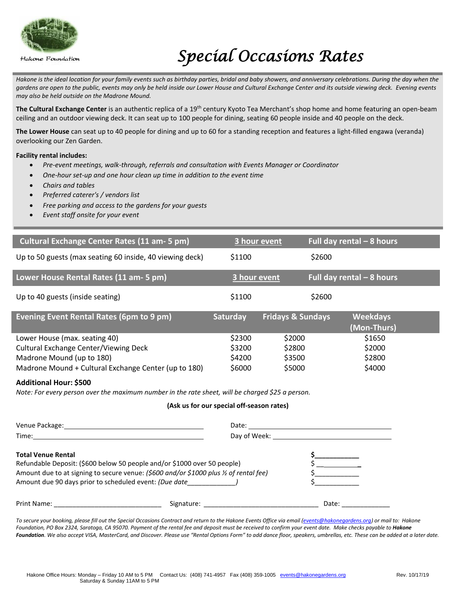

Hakone Foundation

# *Special Occasions Rates*

Hakone is the ideal location for your family events such as birthday parties, bridal and baby showers, and anniversary celebrations. During the day when the *gardens are open to the public, events may only be held inside our Lower House and Cultural Exchange Center and its outside viewing deck. Evening events may also be held outside on the Madrone Mound.*

**The Cultural Exchange Center** is an authentic replica of a 19th century Kyoto Tea Merchant's shop home and home featuring an open-beam ceiling and an outdoor viewing deck. It can seat up to 100 people for dining, seating 60 people inside and 40 people on the deck.

**The Lower House** can seat up to 40 people for dining and up to 60 for a standing reception and features a light-filled engawa (veranda) overlooking our Zen Garden.

## **Facility rental includes:**

- *Pre-event meetings, walk-through, referrals and consultation with Events Manager or Coordinator*
- *One-hour set-up and one hour clean up time in addition to the event time*
- *Chairs and tables*
- *Preferred caterer's / vendors list*
- *Free parking and access to the gardens for your guests*
- *Event staff onsite for your event*

| <b>Cultural Exchange Center Rates (11 am- 5 pm)</b>      | 3 hour event    |                              | Full day rental $-8$ hours     |  |
|----------------------------------------------------------|-----------------|------------------------------|--------------------------------|--|
| Up to 50 guests (max seating 60 inside, 40 viewing deck) | \$1100          |                              | \$2600                         |  |
| Lower House Rental Rates (11 am- 5 pm)                   | 3 hour event    |                              | Full day rental $-8$ hours     |  |
| Up to 40 guests (inside seating)                         | \$1100          |                              | \$2600                         |  |
| <b>Evening Event Rental Rates (6pm to 9 pm)</b>          | <b>Saturday</b> | <b>Fridays &amp; Sundays</b> | <b>Weekdays</b><br>(Mon-Thurs) |  |
| Lower House (max. seating 40)                            | \$2300          | \$2000                       | \$1650                         |  |
| Cultural Exchange Center/Viewing Deck                    | \$3200          | \$2800                       | \$2000                         |  |
| Madrone Mound (up to 180)                                | \$4200          | \$3500                       | \$2800                         |  |
| Madrone Mound + Cultural Exchange Center (up to 180)     | \$6000          | \$5000                       | \$4000                         |  |

### **Additional Hour: \$500**

*Note: For every person over the maximum number in the rate sheet, will be charged \$25 a person.*

### **(Ask us for our special off-season rates)**

|                                                                                                                                                                                                                                                         | Day of Week: Day of Week: |                                       |
|---------------------------------------------------------------------------------------------------------------------------------------------------------------------------------------------------------------------------------------------------------|---------------------------|---------------------------------------|
| <b>Total Venue Rental</b><br>Refundable Deposit: (\$600 below 50 people and/or \$1000 over 50 people)<br>Amount due to at signing to secure venue: (\$600 and/or \$1000 plus % of rental fee)<br>Amount due 90 days prior to scheduled event: (Due date |                           | <u>and the community of the state</u> |
|                                                                                                                                                                                                                                                         |                           | Date:                                 |

*To secure your booking, please fill out the Special Occasions Contract and return to the Hakone Events Office via email [\(events@hakonegardens.org\)](mailto:events@hakonegardens.org) or mail to: Hakone Foundation, PO Box 2324, Saratoga, CA 95070. Payment of the rental fee and deposit must be received to confirm your event date. Make checks payable to Hakone Foundation. We also accept VISA, MasterCard, and Discover. Please use "Rental Options Form" to add dance floor, speakers, umbrellas, etc. These can be added at a later date.*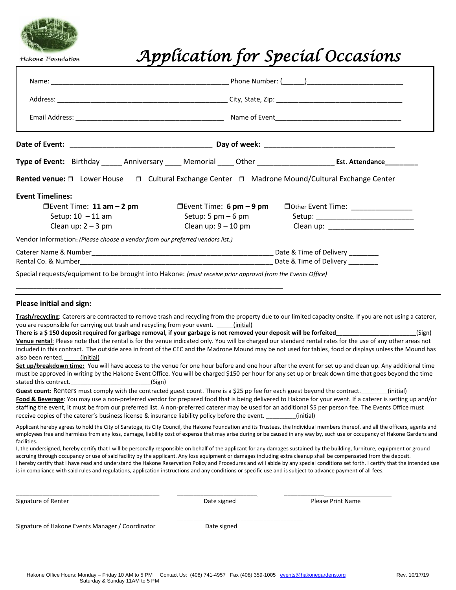

Hakone Foundation

# *Application for Special Occasions*

|                                                                                                                                                                                           |                                                                                                                                                                                             | Type of Event: Birthday ______ Anniversary _____ Memorial _____ Other ________________________ Est. Attendance__________                                                                                                                                                                                                                                                                                                                                                                   |  |  |  |
|-------------------------------------------------------------------------------------------------------------------------------------------------------------------------------------------|---------------------------------------------------------------------------------------------------------------------------------------------------------------------------------------------|--------------------------------------------------------------------------------------------------------------------------------------------------------------------------------------------------------------------------------------------------------------------------------------------------------------------------------------------------------------------------------------------------------------------------------------------------------------------------------------------|--|--|--|
|                                                                                                                                                                                           | Rented venue: □ Lower House □ Cultural Exchange Center □ Madrone Mound/Cultural Exchange Center                                                                                             |                                                                                                                                                                                                                                                                                                                                                                                                                                                                                            |  |  |  |
| <b>Event Timelines:</b><br>$D$ Event Time: 11 am $-$ 2 pm<br>Setup: $10 - 11$ am<br>Clean up: $2 - 3$ pm<br>Vendor Information: (Please choose a vendor from our preferred vendors list.) | <b>Devent Time: 6 pm – 9 pm</b><br>Setup: 5 pm $-6$ pm<br>Clean up: $9-10$ pm<br>Special requests/equipment to be brought into Hakone: (must receive prior approval from the Events Office) | Dother Event Time: _________________                                                                                                                                                                                                                                                                                                                                                                                                                                                       |  |  |  |
| Please initial and sign:<br>you are responsible for carrying out trash and recycling from your event. _____(initial)                                                                      |                                                                                                                                                                                             | Trash/recycling: Caterers are contracted to remove trash and recycling from the property due to our limited capacity onsite. If you are not using a caterer,                                                                                                                                                                                                                                                                                                                               |  |  |  |
| also been rented. (initial)                                                                                                                                                               | There is a \$150 deposit required for garbage removal, if your garbage is not removed your deposit will be forfeited                                                                        | (Sign)<br>Venue rental: Please note that the rental is for the venue indicated only. You will be charged our standard rental rates for the use of any other areas not<br>included in this contract. The outside area in front of the CEC and the Madrone Mound may be not used for tables, food or displays unless the Mound has<br>Set up/breakdown time: You will have access to the venue for one hour before and one hour after the event for set up and clean up. Any additional time |  |  |  |
| stated this contract.                                                                                                                                                                     | (Sign)<br>Guest count: Renters must comply with the contracted guest count. There is a \$25 pp fee for each guest beyond the contract. ______(initial)                                      | must be approved in writing by the Hakone Event Office. You will be charged \$150 per hour for any set up or break down time that goes beyond the time                                                                                                                                                                                                                                                                                                                                     |  |  |  |

**Food & Beverage**: You may use a non-preferred vendor for prepared food that is being delivered to Hakone for your event. If a caterer is setting up and/or staffing the event, it must be from our preferred list. A non-preferred caterer may be used for an additional \$5 per person fee. The Events Office must receive copies of the caterer's business license & insurance liability policy before the event.  $\qquad \qquad$  (initial)

Applicant hereby agrees to hold the City of Saratoga, its City Council, the Hakone Foundation and its Trustees, the Individual members thereof, and all the officers, agents and employees free and harmless from any loss, damage, liability cost of expense that may arise during or be caused in any way by, such use or occupancy of Hakone Gardens and facilities.

I, the undersigned, hereby certify that I will be personally responsible on behalf of the applicant for any damages sustained by the building, furniture, equipment or ground accruing through occupancy or use of said facility by the applicant. Any loss equipment or damages including extra cleanup shall be compensated from the deposit. I hereby certify that I have read and understand the Hakone Reservation Policy and Procedures and will abide by any special conditions set forth. I certify that the intended use is in compliance with said rules and regulations, application instructions and any conditions or specific use and is subject to advance payment of all fees.

Signature of Renter The Communication of Renter Allen Communications of Renter Allen Communications and Date signed The Please Print Name

Signature of Hakone Events Manager / Coordinator Date signed

\_\_\_\_\_\_\_\_\_\_\_\_\_\_\_\_\_\_\_\_\_\_\_\_\_\_\_\_\_\_\_\_\_\_\_\_\_\_\_\_\_\_\_ \_\_\_\_\_\_\_\_\_\_\_\_\_\_\_\_\_\_\_\_\_\_\_\_ \_\_\_\_\_\_\_\_\_\_\_\_

\_\_\_\_\_\_\_\_\_\_\_\_\_\_\_\_\_\_\_\_\_\_\_\_\_\_\_\_\_\_\_\_\_\_\_\_\_\_\_\_\_\_\_ \_\_\_\_\_\_\_\_\_\_\_\_\_\_\_\_\_\_\_\_\_\_\_\_\_\_\_\_\_\_\_\_\_\_\_\_\_\_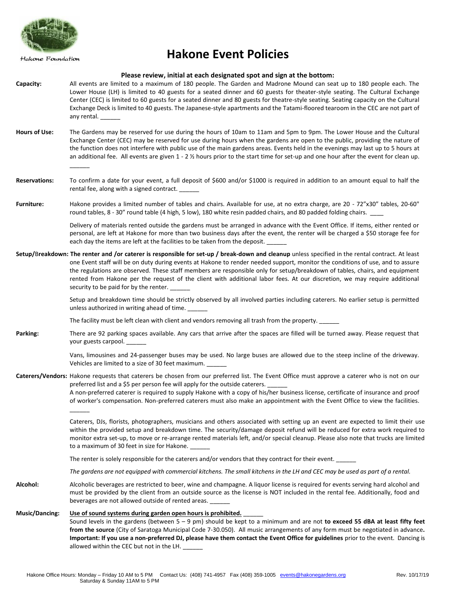

Hakone Foundation

 $\overline{\phantom{a}}$ 

 $\overline{\phantom{a}}$ 

## **Hakone Event Policies**

#### **Please review, initial at each designated spot and sign at the bottom:**

- **Capacity:** All events are limited to a maximum of 180 people. The Garden and Madrone Mound can seat up to 180 people each. The Lower House (LH) is limited to 40 guests for a seated dinner and 60 guests for theater-style seating. The Cultural Exchange Center (CEC) is limited to 60 guests for a seated dinner and 80 guests for theatre-style seating. Seating capacity on the Cultural Exchange Deck is limited to 40 guests. The Japanese-style apartments and the Tatami-floored tearoom in the CEC are not part of any rental.
- **Hours of Use:** The Gardens may be reserved for use during the hours of 10am to 11am and 5pm to 9pm. The Lower House and the Cultural Exchange Center (CEC) may be reserved for use during hours when the gardens are open to the public, providing the nature of the function does not interfere with public use of the main gardens areas. Events held in the evenings may last up to 5 hours at an additional fee. All events are given  $1 - 2$  % hours prior to the start time for set-up and one hour after the event for clean up.
- **Reservations:** To confirm a date for your event, a full deposit of \$600 and/or \$1000 is required in addition to an amount equal to half the rental fee, along with a signed contract.
- **Furniture:** Hakone provides a limited number of tables and chairs. Available for use, at no extra charge, are 20 72"x30" tables, 20-60" round tables, 8 - 30" round table (4 high, 5 low), 180 white resin padded chairs, and 80 padded folding chairs.

Delivery of materials rented outside the gardens must be arranged in advance with the Event Office. If items, either rented or personal, are left at Hakone for more than two business days after the event, the renter will be charged a \$50 storage fee for each day the items are left at the facilities to be taken from the deposit.

**Setup/**B**reakdown: The renter and /or caterer is responsible for set-up / break-down and cleanup** unless specified in the rental contract. At least one Event staff will be on duty during events at Hakone to render needed support, monitor the conditions of use, and to assure the regulations are observed. These staff members are responsible only for setup/breakdown of tables, chairs, and equipment rented from Hakone per the request of the client with additional labor fees. At our discretion, we may require additional security to be paid for by the renter.

> Setup and breakdown time should be strictly observed by all involved parties including caterers. No earlier setup is permitted unless authorized in writing ahead of time.

The facility must be left clean with client and vendors removing all trash from the property.

**Parking:** There are 92 parking spaces available. Any cars that arrive after the spaces are filled will be turned away. Please request that your guests carpool. \_\_\_\_\_\_

> Vans, limousines and 24-passenger buses may be used. No large buses are allowed due to the steep incline of the driveway. Vehicles are limited to a size of 30 feet maximum.

**Caterers/Vendors:** Hakone requests that caterers be chosen from our preferred list. The Event Office must approve a caterer who is not on our preferred list and a \$5 per person fee will apply for the outside caterers.

A non-preferred caterer is required to supply Hakone with a copy of his/her business license, certificate of insurance and proof of worker's compensation. Non-preferred caterers must also make an appointment with the Event Office to view the facilities.

Caterers, DJs, florists, photographers, musicians and others associated with setting up an event are expected to limit their use within the provided setup and breakdown time. The security/damage deposit refund will be reduced for extra work required to monitor extra set-up, to move or re-arrange rented materials left, and/or special cleanup. Please also note that trucks are limited to a maximum of 30 feet in size for Hakone.

The renter is solely responsible for the caterers and/or vendors that they contract for their event.

*The gardens are not equipped with commercial kitchens. The small kitchens in the LH and CEC may be used as part of a rental.* 

**Alcohol:** Alcoholic beverages are restricted to beer, wine and champagne. A liquor license is required for events serving hard alcohol and must be provided by the client from an outside source as the license is NOT included in the rental fee. Additionally, food and beverages are not allowed outside of rented areas.

#### **Music/Dancing: Use of sound systems during garden open hours is prohibited.** \_\_\_\_\_\_

Sound levels in the gardens (between 5 – 9 pm) should be kept to a minimum and are not **to exceed 55 dBA at least fifty feet from the source** (City of Saratoga Municipal Code 7-30.050). All music arrangements of any form must be negotiated in advance**. Important: If you use a non-preferred DJ, please have them contact the Event Office for guidelines** prior to the event. Dancing is allowed within the CEC but not in the LH.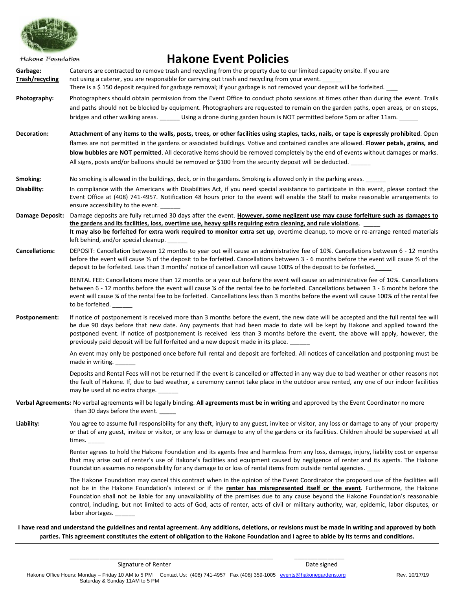

**Hakone Event Policies** Hakone Foundation **Garbage:** Caterers are contracted to remove trash and recycling from the property due to our limited capacity onsite. If you are **Trash/recycling** not using a caterer, you are responsible for carrying out trash and recycling from your event. There is a \$150 deposit required for garbage removal; if your garbage is not removed your deposit will be forfeited. **Photography:** Photographers should obtain permission from the Event Office to conduct photo sessions at times other than during the event. Trails and paths should not be blocked by equipment. Photographers are requested to remain on the garden paths, open areas, or on steps, bridges and other walking areas. <br>Using a drone during garden hours is NOT permitted before 5pm or after 11am. **Decoration: Attachment of any items to the walls, posts, trees, or other facilities using staples, tacks, nails, or tape is expressly prohibited**. Open flames are not permitted in the gardens or associated buildings. Votive and contained candles are allowed. **Flower petals, grains, and blow bubbles are NOT permitted**. All decorative items should be removed completely by the end of events without damages or marks. All signs, posts and/or balloons should be removed or \$100 from the security deposit will be deducted. **Smoking:** No smoking is allowed in the buildings, deck, or in the gardens. Smoking is allowed only in the parking areas. **Disability:** In compliance with the Americans with Disabilities Act, if you need special assistance to participate in this event, please contact the Event Office at (408) 741-4957. Notification 48 hours prior to the event will enable the Staff to make reasonable arrangements to ensure accessibility to the event. **Damage Deposit:** Damage deposits are fully returned 30 days after the event. **However, some negligent use may cause forfeiture such as damages to the gardens and its facilities, loss, overtime use, heavy spills requiring extra cleaning, and rule violations**. \_\_\_\_\_ **It may also be forfeited for extra work required to monitor extra set up**, overtime cleanup, to move or re-arrange rented materials left behind, and/or special cleanup. **Cancellations:** DEPOSIT: Cancellation between 12 months to year out will cause an administrative fee of 10%. Cancellations between 6 - 12 months before the event will cause ⅓ of the deposit to be forfeited. Cancellations between 3 - 6 months before the event will cause ⅔ of the deposit to be forfeited. Less than 3 months' notice of cancellation will cause 100% of the deposit to be forfeited. RENTAL FEE: Cancellations more than 12 months or a year out before the event will cause an administrative fee of 10%. Cancellations between 6 - 12 months before the event will cause ¼ of the rental fee to be forfeited. Cancellations between 3 - 6 months before the event will cause ¾ of the rental fee to be forfeited. Cancellations less than 3 months before the event will cause 100% of the rental fee to be forfeited. **\_\_\_\_\_\_** Postponement: If notice of postponement is received more than 3 months before the event, the new date will be accepted and the full rental fee will be due 90 days before that new date. Any payments that had been made to date will be kept by Hakone and applied toward the postponed event. If notice of postponement is received less than 3 months before the event, the above will apply, however, the previously paid deposit will be full forfeited and a new deposit made in its place. An event may only be postponed once before full rental and deposit are forfeited. All notices of cancellation and postponing must be made in writing. Deposits and Rental Fees will not be returned if the event is cancelled or affected in any way due to bad weather or other reasons not the fault of Hakone. If, due to bad weather, a ceremony cannot take place in the outdoor area rented, any one of our indoor facilities may be used at no extra charge. **Verbal Agreements:** No verbal agreements will be legally binding. **All agreements must be in writing** and approved by the Event Coordinator no more than 30 days before the event. **\_\_\_\_\_ Liability:** You agree to assume full responsibility for any theft, injury to any guest, invitee or visitor, any loss or damage to any of your property or that of any guest, invitee or visitor, or any loss or damage to any of the gardens or its facilities. Children should be supervised at all times. Renter agrees to hold the Hakone Foundation and its agents free and harmless from any loss, damage, injury, liability cost or expense that may arise out of renter's use of Hakone's facilities and equipment caused by negligence of renter and its agents. The Hakone Foundation assumes no responsibility for any damage to or loss of rental items from outside rental agencies. The Hakone Foundation may cancel this contract when in the opinion of the Event Coordinator the proposed use of the facilities will not be in the Hakone Foundation's interest or if the **renter has misrepresented itself or the event**. Furthermore, the Hakone Foundation shall not be liable for any unavailability of the premises due to any cause beyond the Hakone Foundation's reasonable control, including, but not limited to acts of God, acts of renter, acts of civil or military authority, war, epidemic, labor disputes, or labor shortages.

**I have read and understand the guidelines and rental agreement. Any additions, deletions, or revisions must be made in writing and approved by both parties. This agreement constitutes the extent of obligation to the Hakone Foundation and I agree to abide by its terms and conditions.**

Signature of Renter **Date signed** Date signed

\_\_\_\_\_\_\_\_\_\_\_\_\_\_\_\_\_\_\_\_\_\_\_\_\_\_\_\_\_\_\_\_\_\_\_\_\_\_\_\_\_\_\_\_\_\_\_\_\_\_\_\_\_\_\_\_\_\_\_\_\_ \_\_\_\_\_\_\_\_\_\_\_\_\_\_\_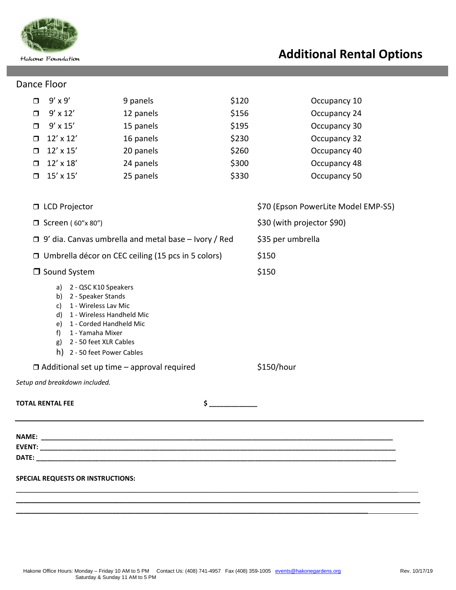

## **Additional Rental Options**

## Dance Floor

| PUITLE I TUUT                                        |                                                                                                                                                                                                                                                                                                                                                                                                                                                                      |                                                             |            |                                     |  |
|------------------------------------------------------|----------------------------------------------------------------------------------------------------------------------------------------------------------------------------------------------------------------------------------------------------------------------------------------------------------------------------------------------------------------------------------------------------------------------------------------------------------------------|-------------------------------------------------------------|------------|-------------------------------------|--|
| $\Box$                                               | $9'$ x $9'$                                                                                                                                                                                                                                                                                                                                                                                                                                                          | 9 panels                                                    | \$120      | Occupancy 10                        |  |
| $\Box$                                               | $9' \times 12'$                                                                                                                                                                                                                                                                                                                                                                                                                                                      | 12 panels                                                   | \$156      | Occupancy 24                        |  |
| $\Box$                                               | $9'$ x $15'$                                                                                                                                                                                                                                                                                                                                                                                                                                                         | 15 panels                                                   | \$195      | Occupancy 30                        |  |
| $\Box$                                               | $12' \times 12'$                                                                                                                                                                                                                                                                                                                                                                                                                                                     | 16 panels                                                   | \$230      | Occupancy 32                        |  |
| $\Box$                                               | $12' \times 15'$                                                                                                                                                                                                                                                                                                                                                                                                                                                     | 20 panels                                                   | \$260      | Occupancy 40                        |  |
| $\Box$                                               | $12' \times 18'$                                                                                                                                                                                                                                                                                                                                                                                                                                                     | 24 panels                                                   | \$300      | Occupancy 48                        |  |
| $\Box$                                               | $15' \times 15'$                                                                                                                                                                                                                                                                                                                                                                                                                                                     | 25 panels                                                   | \$330      | Occupancy 50                        |  |
|                                                      | □ LCD Projector                                                                                                                                                                                                                                                                                                                                                                                                                                                      |                                                             |            | \$70 (Epson PowerLite Model EMP-S5) |  |
|                                                      | $\Box$ Screen (60"x 80")                                                                                                                                                                                                                                                                                                                                                                                                                                             |                                                             |            | \$30 (with projector \$90)          |  |
|                                                      |                                                                                                                                                                                                                                                                                                                                                                                                                                                                      | $\Box$ 9' dia. Canvas umbrella and metal base - Ivory / Red |            | \$35 per umbrella                   |  |
| □ Umbrella décor on CEC ceiling (15 pcs in 5 colors) |                                                                                                                                                                                                                                                                                                                                                                                                                                                                      |                                                             | \$150      |                                     |  |
|                                                      | □ Sound System                                                                                                                                                                                                                                                                                                                                                                                                                                                       |                                                             |            | \$150                               |  |
|                                                      | a) 2 - QSC K10 Speakers<br>b) 2 - Speaker Stands<br>1 - Wireless Lav Mic<br>c)<br>1 - Wireless Handheld Mic<br>d)<br>e) 1 - Corded Handheld Mic<br>1 - Yamaha Mixer<br>$f$ )<br>g) 2 - 50 feet XLR Cables<br>h) 2 - 50 feet Power Cables                                                                                                                                                                                                                             |                                                             |            |                                     |  |
| $\Box$ Additional set up time - approval required    |                                                                                                                                                                                                                                                                                                                                                                                                                                                                      |                                                             | \$150/hour |                                     |  |
|                                                      | Setup and breakdown included.                                                                                                                                                                                                                                                                                                                                                                                                                                        |                                                             |            |                                     |  |
|                                                      | TOTAL RENTAL FEE                                                                                                                                                                                                                                                                                                                                                                                                                                                     | \$                                                          |            |                                     |  |
|                                                      |                                                                                                                                                                                                                                                                                                                                                                                                                                                                      |                                                             |            |                                     |  |
|                                                      | EVENT: which is a contract of the contract of the contract of the contract of the contract of the contract of the contract of the contract of the contract of the contract of the contract of the contract of the contract of<br><b>DATE:</b> the contract of the contract of the contract of the contract of the contract of the contract of the contract of the contract of the contract of the contract of the contract of the contract of the contract of the co |                                                             |            |                                     |  |
|                                                      | <b>SPECIAL REQUESTS OR INSTRUCTIONS:</b>                                                                                                                                                                                                                                                                                                                                                                                                                             |                                                             |            |                                     |  |
|                                                      |                                                                                                                                                                                                                                                                                                                                                                                                                                                                      |                                                             |            |                                     |  |
|                                                      |                                                                                                                                                                                                                                                                                                                                                                                                                                                                      |                                                             |            |                                     |  |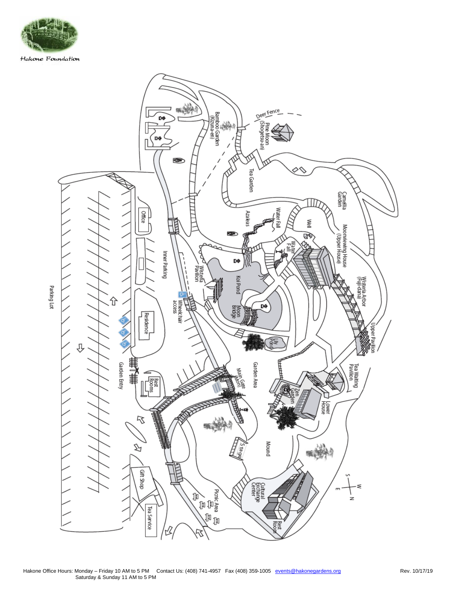

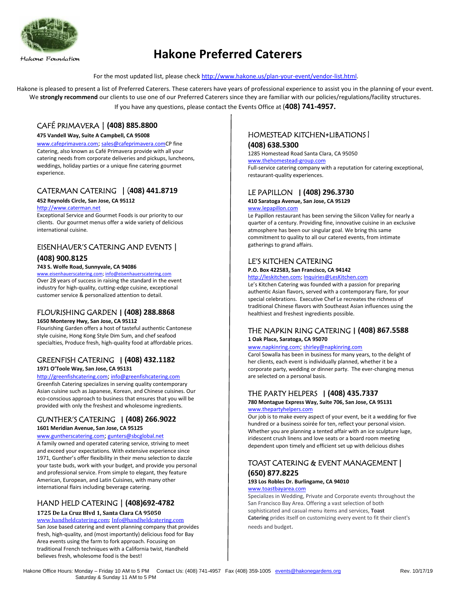

## **Hakone Preferred Caterers**

For the most updated list, please check [http://www.hakone.us/plan-your-event/vendor-list.html.](http://www.hakone.us/plan-your-event/vendor-list.html)

Hakone is pleased to present a list of Preferred Caterers. These caterers have years of professional experience to assist you in the planning of your event. We strongly recommend our clients to use one of our Preferred Caterers since they are familiar with our policies/regulations/facility structures. If you have any questions, please contact the Events Office at (**408) 741-4957.**

## CAFÉ PRIMAVERA | **(408) 885.8800**

#### **475 Vandell Way, Suite A Campbell, CA 95008**

[www.cafeprimavera.com](http://www.cafeprimavera.com/); [sales@cafeprimavera.comC](mailto:sales@cafeprimavera.com)P fine Catering, also known as Café Primavera provide with all your catering needs from corporate deliveries and pickups, luncheons, weddings, holiday parties or a unique fine catering gourmet experience.

## CATERMAN CATERING | (**408) 441.8719**

#### **452 Reynolds Circle, San Jose, CA 95112**

#### [http://www.caterman.net](http://www.caterman.net/)

Exceptional Service and Gourmet Foods is our priority to our clients. Our gourmet menus offer a wide variety of delicious international cuisine.

## EISENHAUER'S CATERING AND EVENTS |

## **(408) 900.8125**

#### **743 S. Wolfe Road, Sunnyvale, CA 94086**

[www.eisenhauerscatering.com;](http://www.eisenhauerscatering.com/) [info@eisenhauerscatering.com](mailto:info@eisenhauerscatering.com) Over 28 years of success in raising the standard in the event industry for high-quality, cutting-edge cuisine, exceptional customer service & personalized attention to detail.

## FLOURISHING GARDEN **| (408) 288.8868**

## **1650 Monterey Hwy, San Jose, CA 95112**

Flourishing Garden offers a host of tasteful authentic Cantonese style cuisine, Hong Kong Style Dim Sum, and chef seafood specialties, Produce fresh, high-quality food at affordable prices.

## GREENFISH CATERING **| (408) 432.1182 1971 O'Toole Way, San Jose, CA 95131**

[http://greenfishcatering.com](http://greenfishcatering.com/); [info@greenfishcatering.com](mailto:info@greenfishcatering.com) Greenfish Catering specializes in serving quality contemporary Asian cuisine such as Japanese, Korean, and Chinese cuisines. Our eco-conscious approach to business that ensures that you will be provided with only the freshest and wholesome ingredients.

## GUNTHER'S CATERING **| (408) 266.9022 1601 Meridian Avenue, San Jose, CA 95125**

[www.guntherscatering.com](http://www.guntherscatering.com/); [gunters@sbcglobal.net](mailto:gunters@sbcglobal.net) A family owned and operated catering service, striving to meet and exceed your expectations. With extensive experience since 1971, Gunther's offer flexibility in their menu selection to dazzle your taste buds, work with your budget, and provide you personal and professional service. From simple to elegant, they feature American, European, and Latin Cuisines, with many other international flairs including beverage catering.

## HAND HELD CATERING | **(408)692-4782**

#### **1725 De La Cruz Blvd 1, Santa Clara CA 95050** [www.handheldcatering.com;](http://www.handheldcatering.com/) [Info@handheldcatering.com](mailto:Info@handheldcatering.com) San Jose based catering and event planning company that provides fresh, high-quality, and (most importantly) delicious food for Bay Area events using the farm to fork approach. Focusing on traditional French techniques with a California twist, Handheld believes fresh, wholesome food is the best!

## HOMESTEAD KITCHEN+LIBATIONS |

## **(408) 638.5300**

1285 Homestead Road Santa Clara, CA 95050

## [www.thehomestead-group.com](http://www.thehomestead-group.com/)

Full-service catering company with a reputation for catering exceptional, restaurant-quality experiences.

## LE PAPILLON **| (408) 296.3730**

**410 Saratoga Avenue, San Jose, CA 95129**

#### [www.lepapillon.com](http://www.lepapillon.com/)

Le Papillon restaurant has been serving the Silicon Valley for nearly a quarter of a century. Providing fine, innovative cuisine in an exclusive atmosphere has been our singular goal. We bring this same commitment to quality to all our catered events, from intimate gatherings to grand affairs.

## LE'S KITCHEN CATERING

### **P.O. Box 422583, San Francisco, CA 94142**

[http://leskitchen.com;](http://leskitchen.com/) [Inquiries@LesKitchen.com](mailto:Inquiries@LesKitchen.com) 

Le's Kitchen Catering was founded with a passion for preparing authentic Asian flavors, served with a contemporary flare, for your special celebrations. Executive Chef Le recreates the richness of traditional Chinese flavors with Southeast Asian influences using the healthiest and freshest ingredients possible.

## THE NAPKIN RING CATERING **| (408) 867.5588 1 Oak Place, Saratoga, CA 95070**

### [www.napkinring.com](http://www.napkinring.com/); [shirley@napkinring.com](mailto:shirley@napkinring.com)

Carol Sowalla has been in business for many years, to the delight of her clients, each event is individually planned, whether it be a corporate party, wedding or dinner party. The ever-changing menus are selected on a personal basis.

## THE PARTY HELPERS **| (408) 435.7337**

**780 Montague Express Way, Suite 706, San Jose, CA 95131** [www.thepartyhelpers.com](http://www.thepartyhelpers.com/)

Our job is to make every aspect of your event, be it a wedding for five hundred or a business soirée for ten, reflect your personal vision. Whether you are planning a tented affair with an ice sculpture luge, iridescent crush linens and love seats or a board room meeting dependent upon timely and efficient set up with delicious dishes

## TOAST CATERING & EVENT MANAGEMENT **| (650) 877.8225**

#### **193 Los Robles Dr. Burlingame, CA 94010** [www.toastbayarea.com](http://www.toastbayarea.com/)

Specializes in Wedding, Private and Corporate events throughout the San Francisco Bay Area. Offering a vast selection of both sophisticated and casual menu items and services, **Toast Catering** prides itself on customizing every event to fit their client's needs and budget.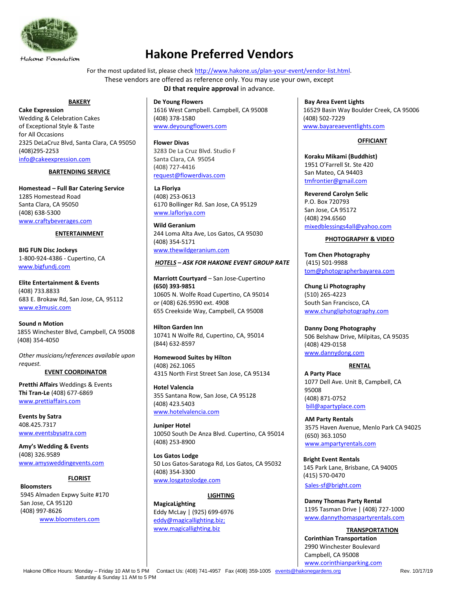

## **Hakone Preferred Vendors**

For the most updated list, please check [http://www.hakone.us/plan-your-event/vendor-list.html.](http://www.hakone.us/plan-your-event/vendor-list.html)

These vendors are offered as reference only. You may use your own, except **DJ that require approval in advance.** 

#### **BAKERY**

**Cake Expression** Wedding & Celebration Cakes of Exceptional Style & Taste for All Occasions 2325 DeLaCruz Blvd, Santa Clara, CA 95050 (408)295-2253 [info@cakeexpression.com](mailto:info@cakeexpression.com)

### **BARTENDING SERVICE**

**Homestead – Full Bar Catering Service** 1285 Homestead Road Santa Clara, CA 95050 (408) 638-5300 [www.craftybeverages.com](http://www.craftybeverages.com/)

### **ENTERTAINMENT**

 **BIG FUN Disc Jockeys** 1-800-924-4386 - Cupertino, CA [www.bigfundj.com](http://www.bigfundj.com/)

**Elite Entertainment & Events** (408) 733.8833 683 E. Brokaw Rd, San Jose, CA, 95112 [www.e3music.com](http://www.e3music.com/)

 **Sound n Motion** 1855 Winchester Blvd, Campbell, CA 95008 (408) 354-4050

*Other musicians/references available upon request.*

## **EVENT COORDINATOR**

**Pretthi Affairs** Weddings & Events **Thi Tran-Le** (408) 677-6869 [www.prettiaffairs.com](http://www.prettiaffairs.com/)

**Events by Satra** 408.425.7317 [www.eventsbysatra.com](http://eventsbysatra.com/)

**Amy's Wedding & Events** (408) 326.9589 [www.amysweddingevents.com](http://www.amysweddingevents.com/)

## **FLORIST**

**Bloomsters**  5945 Almaden Expwy Suite #170 San Jose, CA 95120 (408) 997-8626 [www.bloomsters.com](http://www.bloomsters.com/)

**De Young Flowers** 1616 West Campbell. Campbell, CA 95008 (408) 378-1580 [www.deyoungflowers.com](http://www.deyoungflowers.com/)

**Flower Divas** 3283 De La Cruz Blvd. Studio F Santa Clara, CA 95054 (408) 727-4416 [request@flowerdivas.com](mailto:request@flowerdivas.com)

 **La Floriya** (408) 253-0613 6170 Bollinger Rd. San Jose, CA 95129  [www.lafloriya.com](http://www.lafloriya.com/)

**Wild Geranium** 244 Loma Alta Ave, Los Gatos, CA 95030 (408) 354-5171 [www.thewildgeranium.com](http://www.thewildgeranium.com/)

## *HOTELS – ASK FOR HAKONE EVENT GROUP RATE*

**Marriott Courtyard** – San Jose-Cupertino **(650) 393-9851** 10605 N. Wolfe Road Cupertino, CA 95014 or (408) 626.9590 ext. 4908 655 Creekside Way, Campbell, CA 95008

**Hilton Garden Inn** 10741 N Wolfe Rd, Cupertino, CA, 95014 (844) 632-8597

 **Homewood Suites by Hilton** (408) 262.1065 4315 North First Street San Jose, CA 95134

**Hotel Valencia** 355 Santana Row, San Jose, CA 95128 (408) 423.5403 [www.hotelvalencia.com](http://www.hotelvalencia.com/)

**Juniper Hotel** 10050 South De Anza Blvd. Cupertino, CA 95014 (408) 253-8900

**Los Gatos Lodge** 50 Los Gatos-Saratoga Rd, Los Gatos, CA 95032 (408) 354-3300 [www.losgatoslodge.com](file:///C:/Users/kyongmi/AppData/Local/Microsoft/Windows/AppData/Local/Microsoft/Windows/AppData/Local/Microsoft/Windows/Temporary%20Internet%20Files/AppData/Local/Microsoft/Windows/Temporary%20Internet%20Files/AppData/Local/Microsoft/Windows/Temporary%20Internet%20Files/Content.Outlook/AppData/Local/Microsoft/Windows/Temporary%20Internet%20Files/Content.Outlook/JW2RLD02/www.losgatoslodge.com)

## **LIGHTING**

**MagicaLighting** Eddy McLay | (925) 699-6976 [eddy@magicallighting.biz;](mailto:eddy@magicallighting.biz) [www.magicallighting.biz](http://www.magicallighting.biz/)

**Bay Area Event Lights**  16529 Basin Way Boulder Creek, CA 95006 (408) 502-7229 www.bayareaeventlights.com

## **OFFICIANT**

**Koraku Mikami (Buddhist)** 1951 O'Farrell St. Ste 420 San Mateo, CA 94403 [tmfrontier@gmail.com](mailto:tmfrontier@gmail.com)

**Reverend Carolyn Selic** P.O. Box 720793 San Jose, CA 95172 (408) 294.6560 [mixedblessings4all@yahoo.com](mailto:mixedblessings4all@yahoo.com)

## **PHOTOGRAPHY & VIDEO**

**Tom Chen Photography** (415) 501-9988 [tom@photographerbayarea.com](mailto:tom@photographerbayarea.com)

**Chung Li Photography** (510) 265-4223 South San Francisco, CA [www.chungliphotography.com](http://www.chungliphotography.com/)

**Danny Dong Photography** 506 Belshaw Drive, Milpitas, CA 95035 (408) 429-0158 [www.dannydong.com](http://www.dannydong.com/)

### **RENTAL**

**A Party Place**  1077 Dell Ave. Unit B, Campbell, CA 95008 (408) 871-0752 [bill@apartyplace.com](mailto:bill@apartyplace.com)

 **AM Party Rentals** 3575 Haven Avenue, Menlo Park CA 94025 (650) 363.1050  [www.ampartyrentals.com](http://www.ampartyrentals.com/)

**Bright Event Rentals** 145 Park Lane, Brisbane, CA 94005 (415) 570-0470 s[ales-sf@bright.com](mailto:sales-sf@bright.com)

**Danny Thomas Party Rental** 1195 Tasman Drive | (408) 727-1000 [www.dannythomaspartyrentals.com](http://www.dannythomaspartyrentals.com/)

**TRANSPORTATION Corinthian Transportation** 2990 Winchester Boulevard Campbell, CA 95008 [www.corinthianparking.com](http://www.corinthianparking.com/)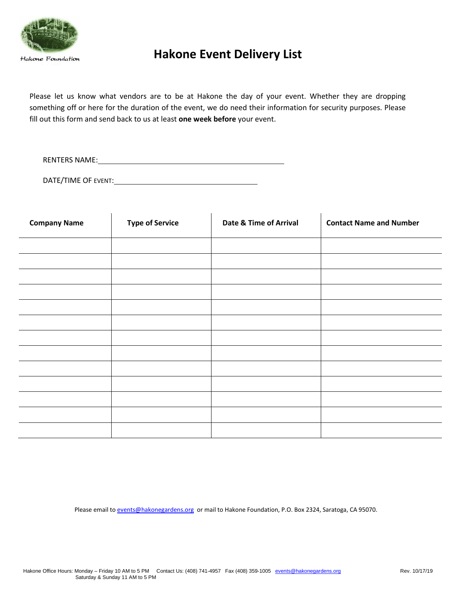

## **Hakone Event Delivery List**

Please let us know what vendors are to be at Hakone the day of your event. Whether they are dropping something off or here for the duration of the event, we do need their information for security purposes. Please fill out this form and send back to us at least **one week before** your event.

RENTERS NAME:

DATE/TIME OF EVENT:

 $\lambda$ 

| <b>Company Name</b> | <b>Type of Service</b> | Date & Time of Arrival | <b>Contact Name and Number</b> |
|---------------------|------------------------|------------------------|--------------------------------|
|                     |                        |                        |                                |
|                     |                        |                        |                                |
|                     |                        |                        |                                |
|                     |                        |                        |                                |
|                     |                        |                        |                                |
|                     |                        |                        |                                |
|                     |                        |                        |                                |
|                     |                        |                        |                                |
|                     |                        |                        |                                |
|                     |                        |                        |                                |
|                     |                        |                        |                                |
|                     |                        |                        |                                |
|                     |                        |                        |                                |

Please email t[o events@hakonegardens.org](mailto:events@hakonegardens.org) or mail to Hakone Foundation, P.O. Box 2324, Saratoga, CA 95070.